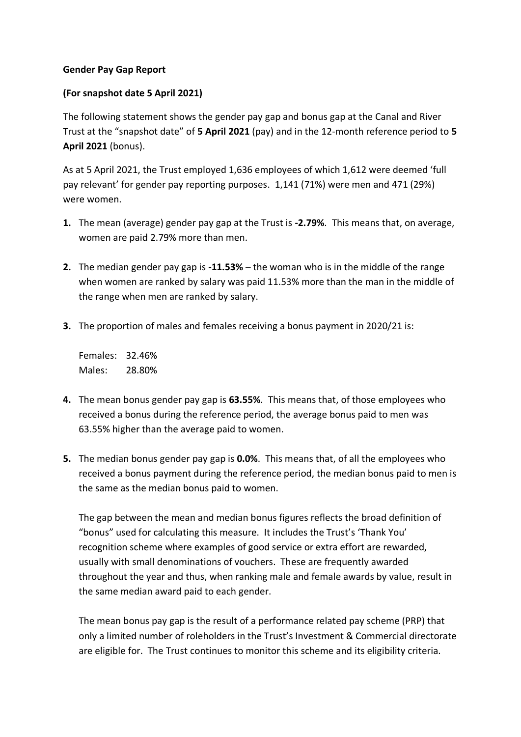## **Gender Pay Gap Report**

## **(For snapshot date 5 April 2021)**

The following statement shows the gender pay gap and bonus gap at the Canal and River Trust at the "snapshot date" of **5 April 2021** (pay) and in the 12-month reference period to **5 April 2021** (bonus).

As at 5 April 2021, the Trust employed 1,636 employees of which 1,612 were deemed 'full pay relevant' for gender pay reporting purposes. 1,141 (71%) were men and 471 (29%) were women.

- **1.** The mean (average) gender pay gap at the Trust is **-2.79%**. This means that, on average, women are paid 2.79% more than men.
- **2.** The median gender pay gap is **-11.53%** the woman who is in the middle of the range when women are ranked by salary was paid 11.53% more than the man in the middle of the range when men are ranked by salary.
- **3.** The proportion of males and females receiving a bonus payment in 2020/21 is:

Females: 32.46% Males: 28.80%

- **4.** The mean bonus gender pay gap is **63.55%**. This means that, of those employees who received a bonus during the reference period, the average bonus paid to men was 63.55% higher than the average paid to women.
- **5.** The median bonus gender pay gap is **0.0%**. This means that, of all the employees who received a bonus payment during the reference period, the median bonus paid to men is the same as the median bonus paid to women.

The gap between the mean and median bonus figures reflects the broad definition of "bonus" used for calculating this measure. It includes the Trust's 'Thank You' recognition scheme where examples of good service or extra effort are rewarded, usually with small denominations of vouchers. These are frequently awarded throughout the year and thus, when ranking male and female awards by value, result in the same median award paid to each gender.

The mean bonus pay gap is the result of a performance related pay scheme (PRP) that only a limited number of roleholders in the Trust's Investment & Commercial directorate are eligible for. The Trust continues to monitor this scheme and its eligibility criteria.